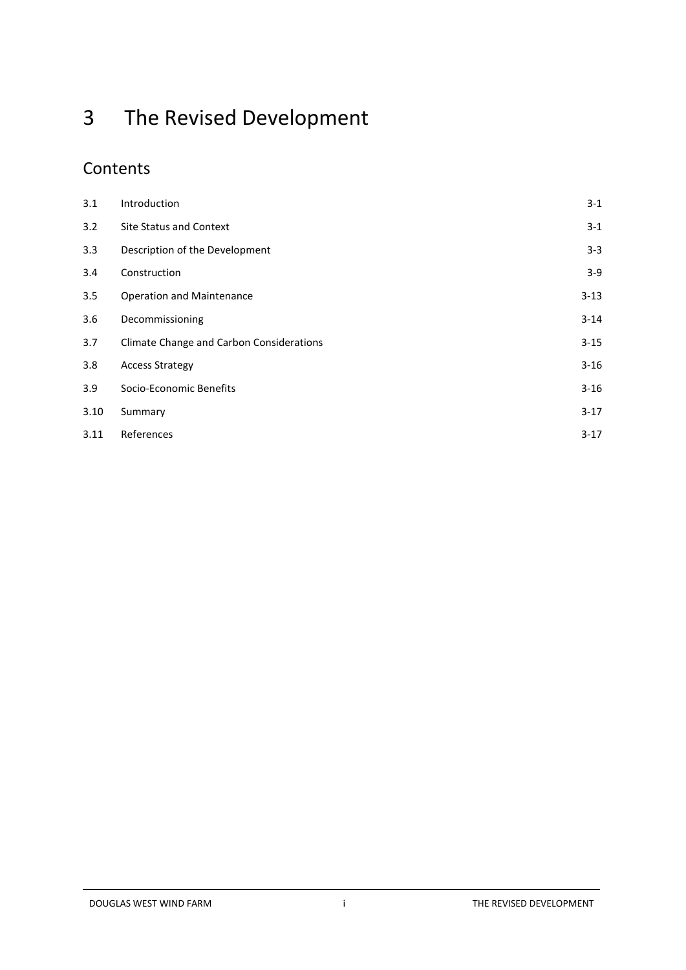# 3 The Revised Development

## **Contents**

| 3.1  | Introduction                                    | $3 - 1$  |
|------|-------------------------------------------------|----------|
| 3.2  | <b>Site Status and Context</b>                  | $3-1$    |
| 3.3  | Description of the Development                  | $3 - 3$  |
| 3.4  | Construction                                    | $3-9$    |
| 3.5  | Operation and Maintenance                       | $3 - 13$ |
| 3.6  | Decommissioning                                 | $3 - 14$ |
| 3.7  | <b>Climate Change and Carbon Considerations</b> | $3 - 15$ |
| 3.8  | <b>Access Strategy</b>                          | $3-16$   |
| 3.9  | Socio-Economic Benefits                         | $3 - 16$ |
| 3.10 | Summary                                         | $3-17$   |
| 3.11 | References                                      | $3-17$   |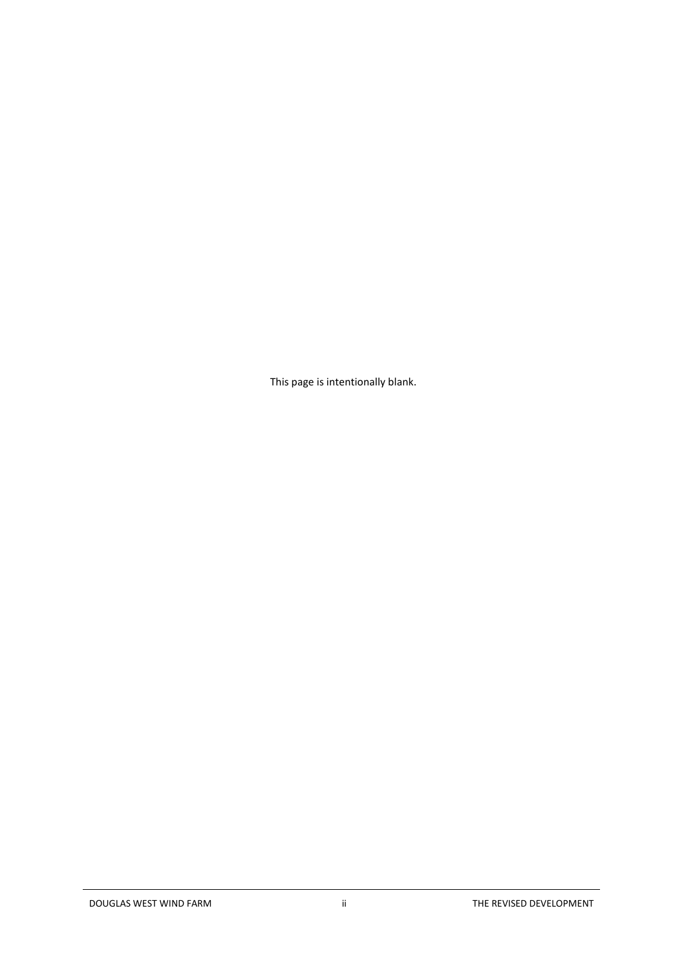This page is intentionally blank.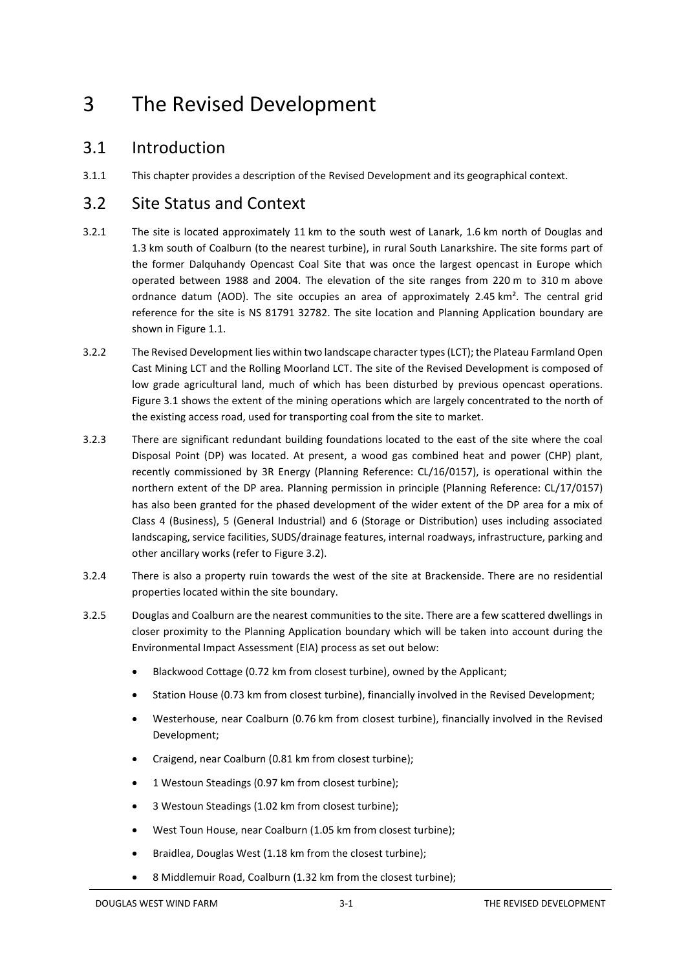# 3 The Revised Development

## <span id="page-2-0"></span>3.1 Introduction

3.1.1 This chapter provides a description of the Revised Development and its geographical context.

## <span id="page-2-1"></span>3.2 Site Status and Context

- 3.2.1 The site is located approximately 11 km to the south west of Lanark, 1.6 km north of Douglas and 1.3 km south of Coalburn (to the nearest turbine), in rural South Lanarkshire. The site forms part of the former Dalquhandy Opencast Coal Site that was once the largest opencast in Europe which operated between 1988 and 2004. The elevation of the site ranges from 220 m to 310 m above ordnance datum (AOD). The site occupies an area of approximately 2.45 km<sup>2</sup>. The central grid reference for the site is NS 81791 32782. The site location and Planning Application boundary are shown in Figure 1.1.
- 3.2.2 The Revised Development lies within two landscape character types (LCT); the Plateau Farmland Open Cast Mining LCT and the Rolling Moorland LCT. The site of the Revised Development is composed of low grade agricultural land, much of which has been disturbed by previous opencast operations. Figure 3.1 shows the extent of the mining operations which are largely concentrated to the north of the existing access road, used for transporting coal from the site to market.
- 3.2.3 There are significant redundant building foundations located to the east of the site where the coal Disposal Point (DP) was located. At present, a wood gas combined heat and power (CHP) plant, recently commissioned by 3R Energy (Planning Reference: CL/16/0157), is operational within the northern extent of the DP area. Planning permission in principle (Planning Reference: CL/17/0157) has also been granted for the phased development of the wider extent of the DP area for a mix of Class 4 (Business), 5 (General Industrial) and 6 (Storage or Distribution) uses including associated landscaping, service facilities, SUDS/drainage features, internal roadways, infrastructure, parking and other ancillary works (refer to Figure 3.2).
- 3.2.4 There is also a property ruin towards the west of the site at Brackenside. There are no residential properties located within the site boundary.
- 3.2.5 Douglas and Coalburn are the nearest communities to the site. There are a few scattered dwellings in closer proximity to the Planning Application boundary which will be taken into account during the Environmental Impact Assessment (EIA) process as set out below:
	- Blackwood Cottage (0.72 km from closest turbine), owned by the Applicant;
	- Station House (0.73 km from closest turbine), financially involved in the Revised Development;
	- Westerhouse, near Coalburn (0.76 km from closest turbine), financially involved in the Revised Development;
	- Craigend, near Coalburn (0.81 km from closest turbine);
	- 1 Westoun Steadings (0.97 km from closest turbine);
	- 3 Westoun Steadings (1.02 km from closest turbine);
	- West Toun House, near Coalburn (1.05 km from closest turbine);
	- Braidlea, Douglas West (1.18 km from the closest turbine);
	- 8 Middlemuir Road, Coalburn (1.32 km from the closest turbine);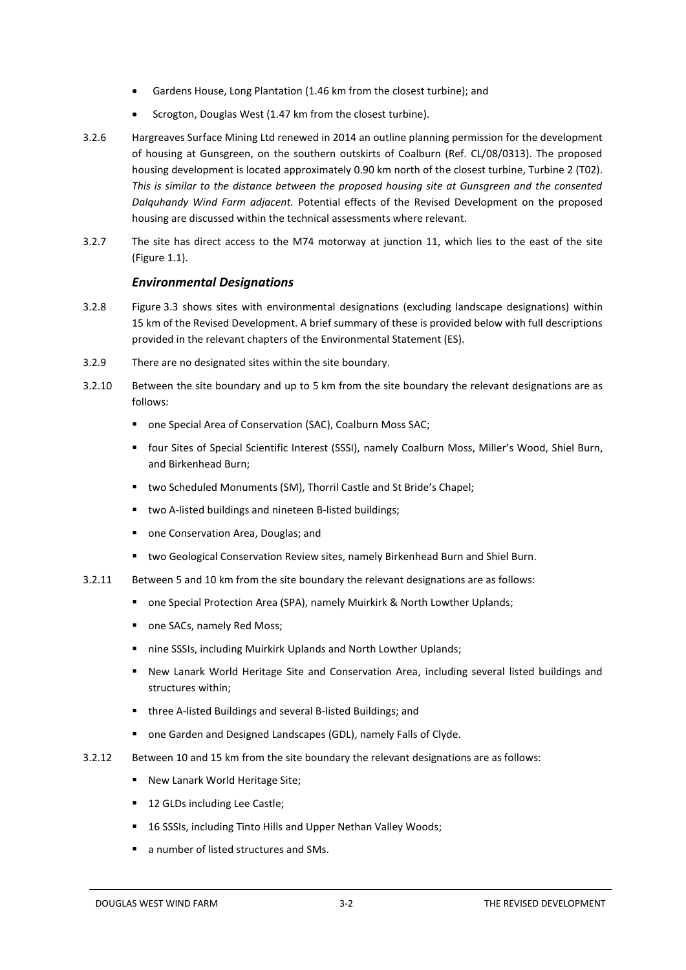- Gardens House, Long Plantation (1.46 km from the closest turbine); and
- Scrogton, Douglas West (1.47 km from the closest turbine).
- 3.2.6 Hargreaves Surface Mining Ltd renewed in 2014 an outline planning permission for the development of housing at Gunsgreen, on the southern outskirts of Coalburn (Ref. CL/08/0313). The proposed housing development is located approximately 0.90 km north of the closest turbine, Turbine 2 (T02). *This is similar to the distance between the proposed housing site at Gunsgreen and the consented Dalquhandy Wind Farm adjacent.* Potential effects of the Revised Development on the proposed housing are discussed within the technical assessments where relevant.
- 3.2.7 The site has direct access to the M74 motorway at junction 11, which lies to the east of the site (Figure 1.1).

#### *Environmental Designations*

- 3.2.8 Figure 3.3 shows sites with environmental designations (excluding landscape designations) within 15 km of the Revised Development. A brief summary of these is provided below with full descriptions provided in the relevant chapters of the Environmental Statement (ES).
- 3.2.9 There are no designated sites within the site boundary.
- 3.2.10 Between the site boundary and up to 5 km from the site boundary the relevant designations are as follows:
	- one Special Area of Conservation (SAC), Coalburn Moss SAC:
	- four Sites of Special Scientific Interest (SSSI), namely Coalburn Moss, Miller's Wood, Shiel Burn, and Birkenhead Burn;
	- two Scheduled Monuments (SM), Thorril Castle and St Bride's Chapel;
	- **\*** two A-listed buildings and nineteen B-listed buildings;
	- **one Conservation Area, Douglas; and**
	- two Geological Conservation Review sites, namely Birkenhead Burn and Shiel Burn.
- 3.2.11 Between 5 and 10 km from the site boundary the relevant designations are as follows:
	- one Special Protection Area (SPA), namely Muirkirk & North Lowther Uplands;
	- one SACs, namely Red Moss;
	- nine SSSIs, including Muirkirk Uplands and North Lowther Uplands;
	- New Lanark World Heritage Site and Conservation Area, including several listed buildings and structures within;
	- three A-listed Buildings and several B-listed Buildings; and
	- one Garden and Designed Landscapes (GDL), namely Falls of Clyde.
- 3.2.12 Between 10 and 15 km from the site boundary the relevant designations are as follows:
	- New Lanark World Heritage Site;
	- 12 GLDs including Lee Castle;
	- <sup>■</sup> 16 SSSIs, including Tinto Hills and Upper Nethan Valley Woods;
	- a number of listed structures and SMs.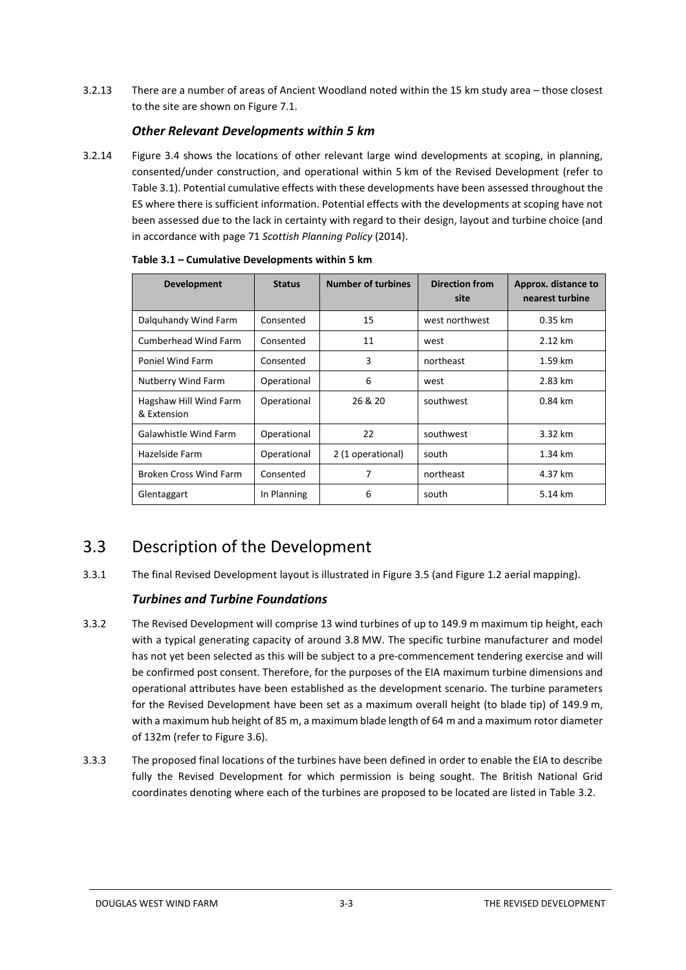3.2.13 There are a number of areas of Ancient Woodland noted within the 15 km study area – those closest to the site are shown on Figure 7.1.

#### *Other Relevant Developments within 5 km*

3.2.14 Figure 3.4 shows the locations of other relevant large wind developments at scoping, in planning, consented/under construction, and operational within 5 km of the Revised Development (refer to Table 3.1). Potential cumulative effects with these developments have been assessed throughout the ES where there is sufficient information. Potential effects with the developments at scoping have not been assessed due to the lack in certainty with regard to their design, layout and turbine choice (and in accordance with page 71 *Scottish Planning Policy* (2014).

| <b>Development</b>                    | <b>Status</b> | <b>Number of turbines</b> | <b>Direction from</b><br>site | Approx. distance to<br>nearest turbine |
|---------------------------------------|---------------|---------------------------|-------------------------------|----------------------------------------|
| Dalguhandy Wind Farm                  | Consented     | 15                        | west northwest                | $0.35$ km                              |
| Cumberhead Wind Farm                  | Consented     | 11                        | west                          | 2.12 km                                |
| Poniel Wind Farm                      | Consented     | 3                         | northeast                     | $1.59$ km                              |
| Nutberry Wind Farm                    | Operational   | 6                         | west                          | 2.83 km                                |
| Hagshaw Hill Wind Farm<br>& Extension | Operational   | 26 & 20                   | southwest                     | $0.84 \text{ km}$                      |
| Galawhistle Wind Farm                 | Operational   | 22                        | southwest                     | 3.32 km                                |
| Hazelside Farm                        | Operational   | 2 (1 operational)         | south                         | 1.34 km                                |
| Broken Cross Wind Farm                | Consented     | 7                         | northeast                     | 4.37 km                                |
| Glentaggart                           | In Planning   | 6                         | south                         | 5.14 km                                |

**Table 3.1 – Cumulative Developments within 5 km**

## <span id="page-4-0"></span>3.3 Description of the Development

3.3.1 The final Revised Development layout is illustrated in Figure 3.5 (and Figure 1.2 aerial mapping).

#### *Turbines and Turbine Foundations*

- 3.3.2 The Revised Development will comprise 13 wind turbines of up to 149.9 m maximum tip height, each with a typical generating capacity of around 3.8 MW. The specific turbine manufacturer and model has not yet been selected as this will be subject to a pre-commencement tendering exercise and will be confirmed post consent. Therefore, for the purposes of the EIA maximum turbine dimensions and operational attributes have been established as the development scenario. The turbine parameters for the Revised Development have been set as a maximum overall height (to blade tip) of 149.9 m, with a maximum hub height of 85 m, a maximum blade length of 64 m and a maximum rotor diameter of 132m (refer to Figure 3.6).
- 3.3.3 The proposed final locations of the turbines have been defined in order to enable the EIA to describe fully the Revised Development for which permission is being sought. The British National Grid coordinates denoting where each of the turbines are proposed to be located are listed in Table 3.2.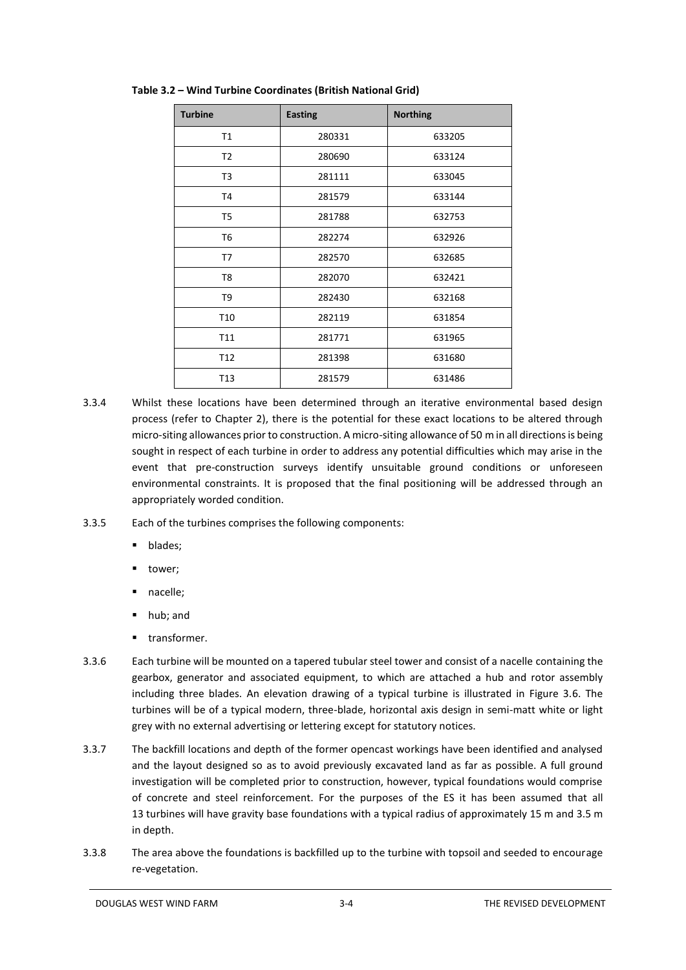| <b>Turbine</b>  | <b>Easting</b> | <b>Northing</b> |
|-----------------|----------------|-----------------|
| <b>T1</b>       | 280331         | 633205          |
| T <sub>2</sub>  | 280690         | 633124          |
| T <sub>3</sub>  | 281111         | 633045          |
| T <sub>4</sub>  | 281579         | 633144          |
| T5              | 281788         | 632753          |
| T6              | 282274         | 632926          |
| T7              | 282570         | 632685          |
| T8              | 282070         | 632421          |
| T <sub>9</sub>  | 282430         | 632168          |
| T <sub>10</sub> | 282119         | 631854          |
| T11             | 281771         | 631965          |
| T <sub>12</sub> | 281398         | 631680          |
| T13             | 281579         | 631486          |

**Table 3.2 – Wind Turbine Coordinates (British National Grid)**

- 3.3.4 Whilst these locations have been determined through an iterative environmental based design process (refer to Chapter 2), there is the potential for these exact locations to be altered through micro-siting allowances prior to construction. A micro-siting allowance of 50 m in all directions is being sought in respect of each turbine in order to address any potential difficulties which may arise in the event that pre-construction surveys identify unsuitable ground conditions or unforeseen environmental constraints. It is proposed that the final positioning will be addressed through an appropriately worded condition.
- 3.3.5 Each of the turbines comprises the following components:
	- blades;
	- tower;
	- nacelle;
	- hub; and
	- **transformer.**
- 3.3.6 Each turbine will be mounted on a tapered tubular steel tower and consist of a nacelle containing the gearbox, generator and associated equipment, to which are attached a hub and rotor assembly including three blades. An elevation drawing of a typical turbine is illustrated in Figure 3.6. The turbines will be of a typical modern, three-blade, horizontal axis design in semi-matt white or light grey with no external advertising or lettering except for statutory notices.
- 3.3.7 The backfill locations and depth of the former opencast workings have been identified and analysed and the layout designed so as to avoid previously excavated land as far as possible. A full ground investigation will be completed prior to construction, however, typical foundations would comprise of concrete and steel reinforcement. For the purposes of the ES it has been assumed that all 13 turbines will have gravity base foundations with a typical radius of approximately 15 m and 3.5 m in depth.
- 3.3.8 The area above the foundations is backfilled up to the turbine with topsoil and seeded to encourage re-vegetation.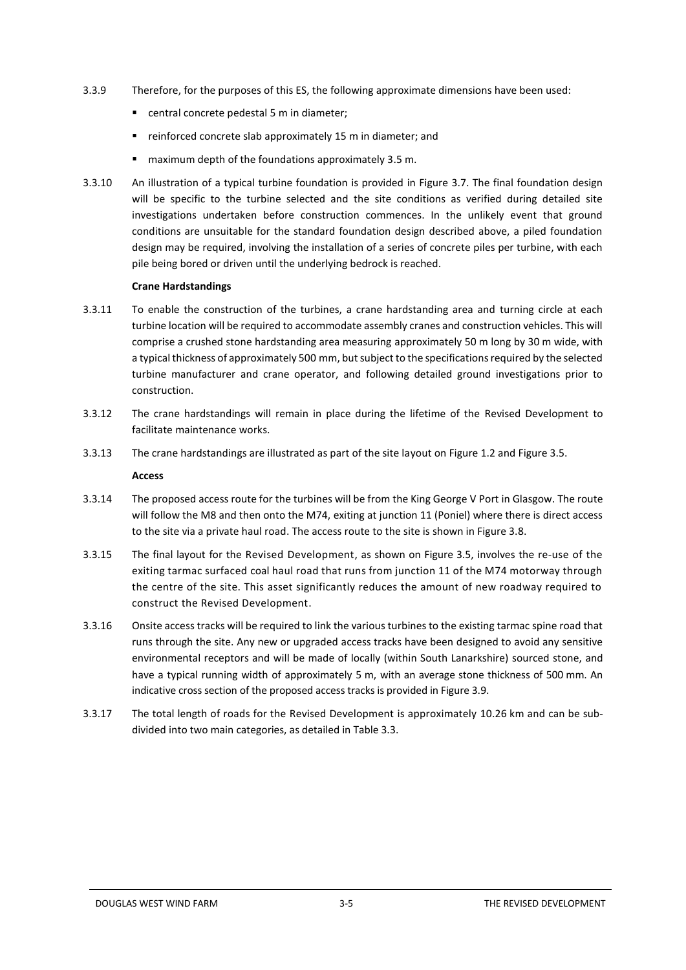- 3.3.9 Therefore, for the purposes of this ES, the following approximate dimensions have been used:
	- central concrete pedestal 5 m in diameter:
	- reinforced concrete slab approximately 15 m in diameter; and
	- maximum depth of the foundations approximately 3.5 m.
- 3.3.10 An illustration of a typical turbine foundation is provided in Figure 3.7. The final foundation design will be specific to the turbine selected and the site conditions as verified during detailed site investigations undertaken before construction commences. In the unlikely event that ground conditions are unsuitable for the standard foundation design described above, a piled foundation design may be required, involving the installation of a series of concrete piles per turbine, with each pile being bored or driven until the underlying bedrock is reached.

#### **Crane Hardstandings**

- 3.3.11 To enable the construction of the turbines, a crane hardstanding area and turning circle at each turbine location will be required to accommodate assembly cranes and construction vehicles. This will comprise a crushed stone hardstanding area measuring approximately 50 m long by 30 m wide, with a typical thickness of approximately 500 mm, but subject to the specifications required by the selected turbine manufacturer and crane operator, and following detailed ground investigations prior to construction.
- 3.3.12 The crane hardstandings will remain in place during the lifetime of the Revised Development to facilitate maintenance works.
- 3.3.13 The crane hardstandings are illustrated as part of the site layout on Figure 1.2 and Figure 3.5.

#### **Access**

- 3.3.14 The proposed access route for the turbines will be from the King George V Port in Glasgow. The route will follow the M8 and then onto the M74, exiting at junction 11 (Poniel) where there is direct access to the site via a private haul road. The access route to the site is shown in Figure 3.8.
- 3.3.15 The final layout for the Revised Development, as shown on Figure 3.5, involves the re-use of the exiting tarmac surfaced coal haul road that runs from junction 11 of the M74 motorway through the centre of the site. This asset significantly reduces the amount of new roadway required to construct the Revised Development.
- 3.3.16 Onsite access tracks will be required to link the various turbines to the existing tarmac spine road that runs through the site. Any new or upgraded access tracks have been designed to avoid any sensitive environmental receptors and will be made of locally (within South Lanarkshire) sourced stone, and have a typical running width of approximately 5 m, with an average stone thickness of 500 mm. An indicative cross section of the proposed access tracks is provided in Figure 3.9.
- 3.3.17 The total length of roads for the Revised Development is approximately 10.26 km and can be subdivided into two main categories, as detailed in Table 3.3.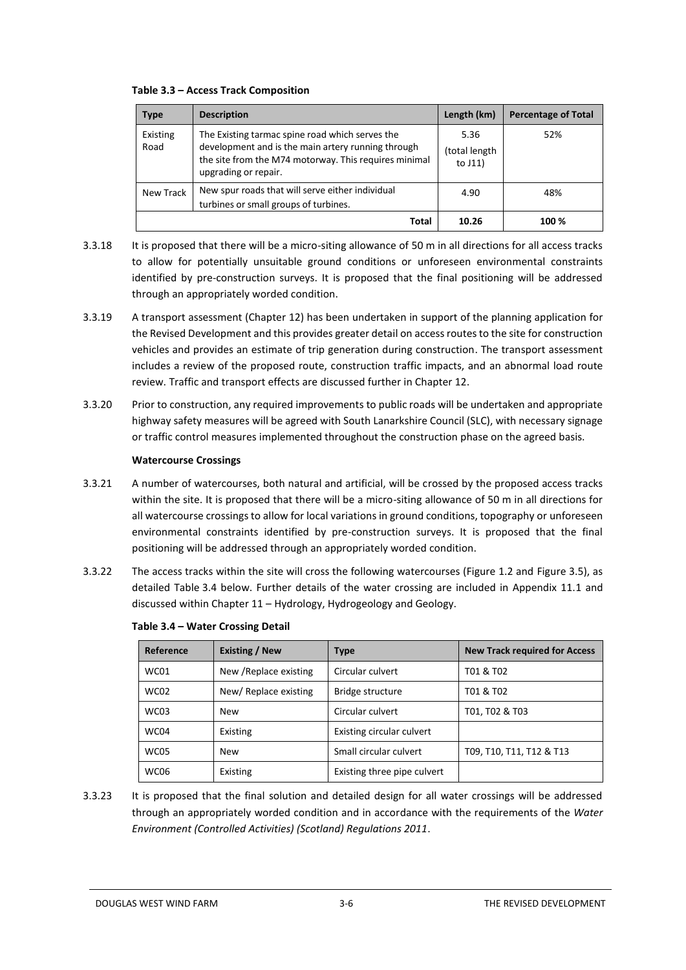#### **Table 3.3 – Access Track Composition**

| <b>Type</b>      | <b>Description</b>                                                                                                                                                                     | Length (km)                      | <b>Percentage of Total</b> |
|------------------|----------------------------------------------------------------------------------------------------------------------------------------------------------------------------------------|----------------------------------|----------------------------|
| Existing<br>Road | The Existing tarmac spine road which serves the<br>development and is the main artery running through<br>the site from the M74 motorway. This requires minimal<br>upgrading or repair. | 5.36<br>(total length<br>to J11) | 52%                        |
| New Track        | New spur roads that will serve either individual<br>turbines or small groups of turbines.                                                                                              | 4.90                             | 48%                        |
|                  | Total                                                                                                                                                                                  | 10.26                            | 100 %                      |

- 3.3.18 It is proposed that there will be a micro-siting allowance of 50 m in all directions for all access tracks to allow for potentially unsuitable ground conditions or unforeseen environmental constraints identified by pre-construction surveys. It is proposed that the final positioning will be addressed through an appropriately worded condition.
- 3.3.19 A transport assessment (Chapter 12) has been undertaken in support of the planning application for the Revised Development and this provides greater detail on access routes to the site for construction vehicles and provides an estimate of trip generation during construction. The transport assessment includes a review of the proposed route, construction traffic impacts, and an abnormal load route review. Traffic and transport effects are discussed further in Chapter 12.
- 3.3.20 Prior to construction, any required improvements to public roads will be undertaken and appropriate highway safety measures will be agreed with South Lanarkshire Council (SLC), with necessary signage or traffic control measures implemented throughout the construction phase on the agreed basis.

#### **Watercourse Crossings**

- 3.3.21 A number of watercourses, both natural and artificial, will be crossed by the proposed access tracks within the site. It is proposed that there will be a micro-siting allowance of 50 m in all directions for all watercourse crossings to allow for local variations in ground conditions, topography or unforeseen environmental constraints identified by pre-construction surveys. It is proposed that the final positioning will be addressed through an appropriately worded condition.
- 3.3.22 The access tracks within the site will cross the following watercourses (Figure 1.2 and Figure 3.5), as detailed Table 3.4 below. Further details of the water crossing are included in Appendix 11.1 and discussed within Chapter 11 – Hydrology, Hydrogeology and Geology.

| Reference        | <b>Existing / New</b> | <b>Type</b>                 | <b>New Track required for Access</b> |
|------------------|-----------------------|-----------------------------|--------------------------------------|
| WC01             | New /Replace existing | Circular culvert            | T01 & T02                            |
| WC <sub>02</sub> | New/Replace existing  | Bridge structure            | T01 & T02                            |
| WC03             | <b>New</b>            | Circular culvert            | T01, T02 & T03                       |
| WC04             | Existing              | Existing circular culvert   |                                      |
| WC05             | <b>New</b>            | Small circular culvert      | T09, T10, T11, T12 & T13             |
| WC06             | Existing              | Existing three pipe culvert |                                      |

3.3.23 It is proposed that the final solution and detailed design for all water crossings will be addressed through an appropriately worded condition and in accordance with the requirements of the *Water Environment (Controlled Activities) (Scotland) Regulations 2011*.

DOUGLAS WEST WIND FARM 3-6 THE REVISED DEVELOPMENT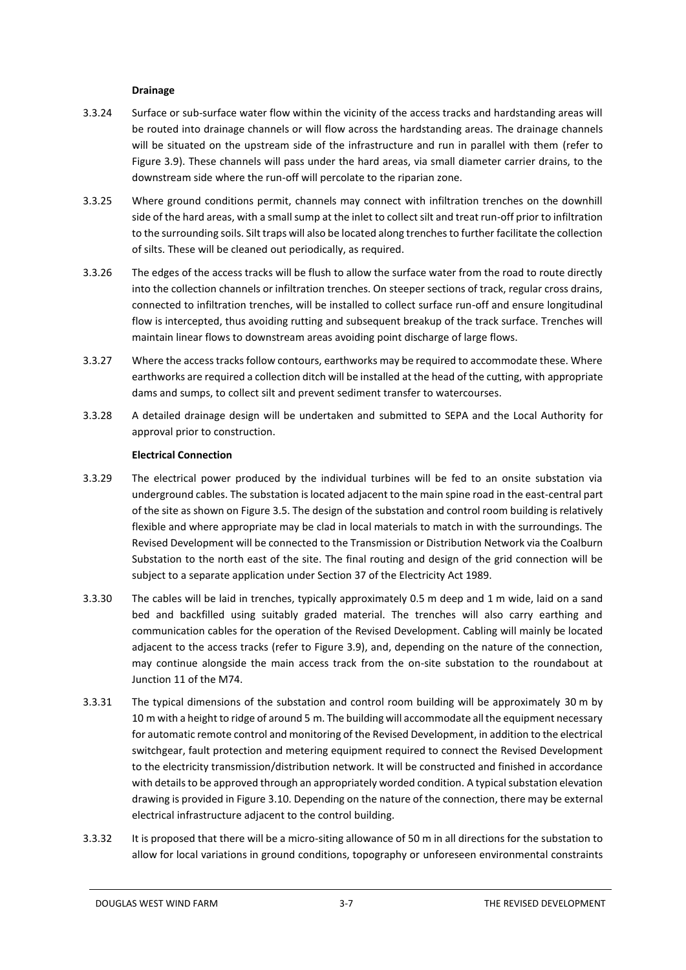#### **Drainage**

- 3.3.24 Surface or sub-surface water flow within the vicinity of the access tracks and hardstanding areas will be routed into drainage channels or will flow across the hardstanding areas. The drainage channels will be situated on the upstream side of the infrastructure and run in parallel with them (refer to Figure 3.9). These channels will pass under the hard areas, via small diameter carrier drains, to the downstream side where the run-off will percolate to the riparian zone.
- 3.3.25 Where ground conditions permit, channels may connect with infiltration trenches on the downhill side of the hard areas, with a small sump at the inlet to collect silt and treat run-off prior to infiltration to the surrounding soils. Silt traps will also be located along trenches to further facilitate the collection of silts. These will be cleaned out periodically, as required.
- 3.3.26 The edges of the access tracks will be flush to allow the surface water from the road to route directly into the collection channels or infiltration trenches. On steeper sections of track, regular cross drains, connected to infiltration trenches, will be installed to collect surface run-off and ensure longitudinal flow is intercepted, thus avoiding rutting and subsequent breakup of the track surface. Trenches will maintain linear flows to downstream areas avoiding point discharge of large flows.
- 3.3.27 Where the access tracks follow contours, earthworks may be required to accommodate these. Where earthworks are required a collection ditch will be installed at the head of the cutting, with appropriate dams and sumps, to collect silt and prevent sediment transfer to watercourses.
- 3.3.28 A detailed drainage design will be undertaken and submitted to SEPA and the Local Authority for approval prior to construction.

#### **Electrical Connection**

- 3.3.29 The electrical power produced by the individual turbines will be fed to an onsite substation via underground cables. The substation is located adjacent to the main spine road in the east-central part of the site as shown on Figure 3.5. The design of the substation and control room building is relatively flexible and where appropriate may be clad in local materials to match in with the surroundings. The Revised Development will be connected to the Transmission or Distribution Network via the Coalburn Substation to the north east of the site. The final routing and design of the grid connection will be subject to a separate application under Section 37 of the Electricity Act 1989.
- 3.3.30 The cables will be laid in trenches, typically approximately 0.5 m deep and 1 m wide, laid on a sand bed and backfilled using suitably graded material. The trenches will also carry earthing and communication cables for the operation of the Revised Development. Cabling will mainly be located adjacent to the access tracks (refer to Figure 3.9), and, depending on the nature of the connection, may continue alongside the main access track from the on-site substation to the roundabout at Junction 11 of the M74.
- 3.3.31 The typical dimensions of the substation and control room building will be approximately 30 m by 10 m with a height to ridge of around 5 m. The building will accommodate all the equipment necessary for automatic remote control and monitoring of the Revised Development, in addition to the electrical switchgear, fault protection and metering equipment required to connect the Revised Development to the electricity transmission/distribution network. It will be constructed and finished in accordance with details to be approved through an appropriately worded condition. A typical substation elevation drawing is provided in Figure 3.10. Depending on the nature of the connection, there may be external electrical infrastructure adjacent to the control building.
- 3.3.32 It is proposed that there will be a micro-siting allowance of 50 m in all directions for the substation to allow for local variations in ground conditions, topography or unforeseen environmental constraints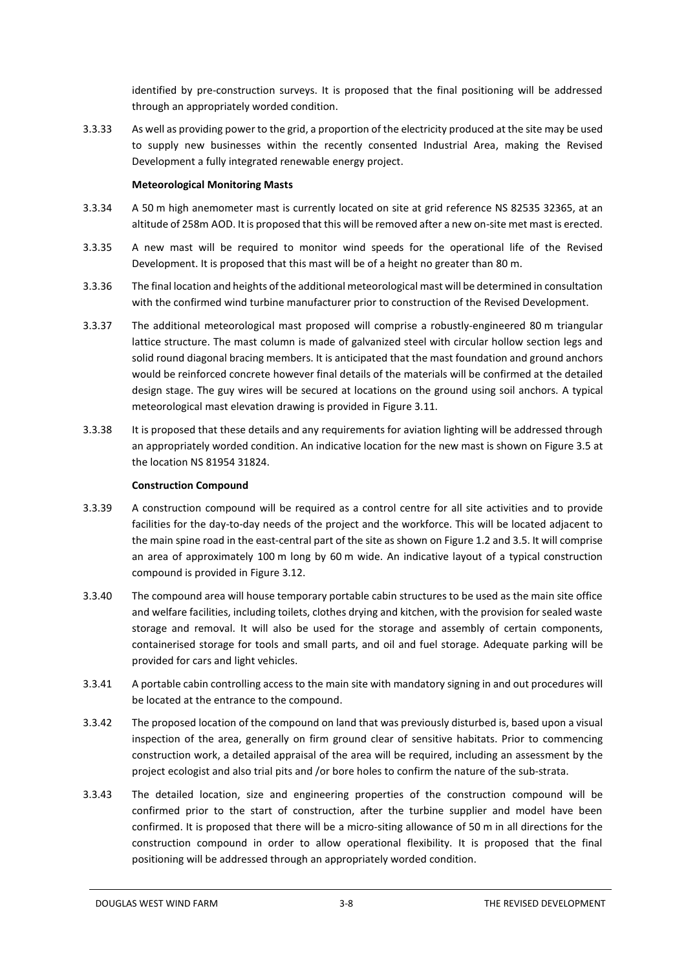identified by pre-construction surveys. It is proposed that the final positioning will be addressed through an appropriately worded condition.

3.3.33 As well as providing power to the grid, a proportion of the electricity produced at the site may be used to supply new businesses within the recently consented Industrial Area, making the Revised Development a fully integrated renewable energy project.

#### **Meteorological Monitoring Masts**

- 3.3.34 A 50 m high anemometer mast is currently located on site at grid reference NS 82535 32365, at an altitude of 258m AOD. It is proposed that this will be removed after a new on-site met mast is erected.
- 3.3.35 A new mast will be required to monitor wind speeds for the operational life of the Revised Development. It is proposed that this mast will be of a height no greater than 80 m.
- 3.3.36 The final location and heights of the additional meteorological mast will be determined in consultation with the confirmed wind turbine manufacturer prior to construction of the Revised Development.
- 3.3.37 The additional meteorological mast proposed will comprise a robustly-engineered 80 m triangular lattice structure. The mast column is made of galvanized steel with circular hollow section legs and solid round diagonal bracing members. It is anticipated that the mast foundation and ground anchors would be reinforced concrete however final details of the materials will be confirmed at the detailed design stage. The guy wires will be secured at locations on the ground using soil anchors. A typical meteorological mast elevation drawing is provided in Figure 3.11.
- 3.3.38 It is proposed that these details and any requirements for aviation lighting will be addressed through an appropriately worded condition. An indicative location for the new mast is shown on Figure 3.5 at the location NS 81954 31824.

#### **Construction Compound**

- 3.3.39 A construction compound will be required as a control centre for all site activities and to provide facilities for the day-to-day needs of the project and the workforce. This will be located adjacent to the main spine road in the east-central part of the site as shown on Figure 1.2 and 3.5. It will comprise an area of approximately 100 m long by 60 m wide. An indicative layout of a typical construction compound is provided in Figure 3.12.
- 3.3.40 The compound area will house temporary portable cabin structures to be used as the main site office and welfare facilities, including toilets, clothes drying and kitchen, with the provision for sealed waste storage and removal. It will also be used for the storage and assembly of certain components, containerised storage for tools and small parts, and oil and fuel storage. Adequate parking will be provided for cars and light vehicles.
- 3.3.41 A portable cabin controlling access to the main site with mandatory signing in and out procedures will be located at the entrance to the compound.
- 3.3.42 The proposed location of the compound on land that was previously disturbed is, based upon a visual inspection of the area, generally on firm ground clear of sensitive habitats. Prior to commencing construction work, a detailed appraisal of the area will be required, including an assessment by the project ecologist and also trial pits and /or bore holes to confirm the nature of the sub-strata.
- 3.3.43 The detailed location, size and engineering properties of the construction compound will be confirmed prior to the start of construction, after the turbine supplier and model have been confirmed. It is proposed that there will be a micro-siting allowance of 50 m in all directions for the construction compound in order to allow operational flexibility. It is proposed that the final positioning will be addressed through an appropriately worded condition.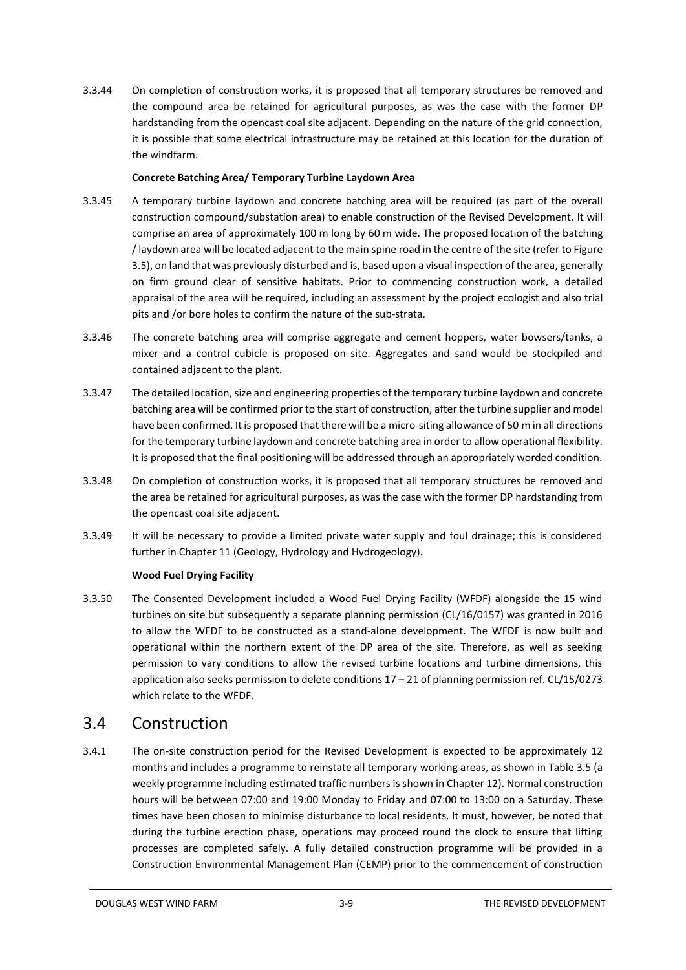3.3.44 On completion of construction works, it is proposed that all temporary structures be removed and the compound area be retained for agricultural purposes, as was the case with the former DP hardstanding from the opencast coal site adjacent. Depending on the nature of the grid connection, it is possible that some electrical infrastructure may be retained at this location for the duration of the windfarm.

#### **Concrete Batching Area/ Temporary Turbine Laydown Area**

- 3.3.45 A temporary turbine laydown and concrete batching area will be required (as part of the overall construction compound/substation area) to enable construction of the Revised Development. It will comprise an area of approximately 100 m long by 60 m wide. The proposed location of the batching / laydown area will be located adjacent to the main spine road in the centre of the site (refer to Figure 3.5), on land that was previously disturbed and is, based upon a visual inspection of the area, generally on firm ground clear of sensitive habitats. Prior to commencing construction work, a detailed appraisal of the area will be required, including an assessment by the project ecologist and also trial pits and /or bore holes to confirm the nature of the sub-strata.
- 3.3.46 The concrete batching area will comprise aggregate and cement hoppers, water bowsers/tanks, a mixer and a control cubicle is proposed on site. Aggregates and sand would be stockpiled and contained adjacent to the plant.
- 3.3.47 The detailed location, size and engineering properties of the temporary turbine laydown and concrete batching area will be confirmed prior to the start of construction, after the turbine supplier and model have been confirmed. It is proposed that there will be a micro-siting allowance of 50 m in all directions for the temporary turbine laydown and concrete batching area in order to allow operational flexibility. It is proposed that the final positioning will be addressed through an appropriately worded condition.
- 3.3.48 On completion of construction works, it is proposed that all temporary structures be removed and the area be retained for agricultural purposes, as was the case with the former DP hardstanding from the opencast coal site adjacent.
- 3.3.49 It will be necessary to provide a limited private water supply and foul drainage; this is considered further in Chapter 11 (Geology, Hydrology and Hydrogeology).

#### **Wood Fuel Drying Facility**

<span id="page-10-0"></span>3.3.50 The Consented Development included a Wood Fuel Drying Facility (WFDF) alongside the 15 wind turbines on site but subsequently a separate planning permission (CL/16/0157) was granted in 2016 to allow the WFDF to be constructed as a stand-alone development. The WFDF is now built and operational within the northern extent of the DP area of the site. Therefore, as well as seeking permission to vary conditions to allow the revised turbine locations and turbine dimensions, this application also seeks permission to delete conditions 17 – 21 of planning permission ref. CL/15/0273 which relate to the WFDF.

## 3.4 Construction

3.4.1 The on-site construction period for the Revised Development is expected to be approximately 12 months and includes a programme to reinstate all temporary working areas, as shown in Table 3.5 (a weekly programme including estimated traffic numbers is shown in Chapter 12). Normal construction hours will be between 07:00 and 19:00 Monday to Friday and 07:00 to 13:00 on a Saturday. These times have been chosen to minimise disturbance to local residents. It must, however, be noted that during the turbine erection phase, operations may proceed round the clock to ensure that lifting processes are completed safely. A fully detailed construction programme will be provided in a Construction Environmental Management Plan (CEMP) prior to the commencement of construction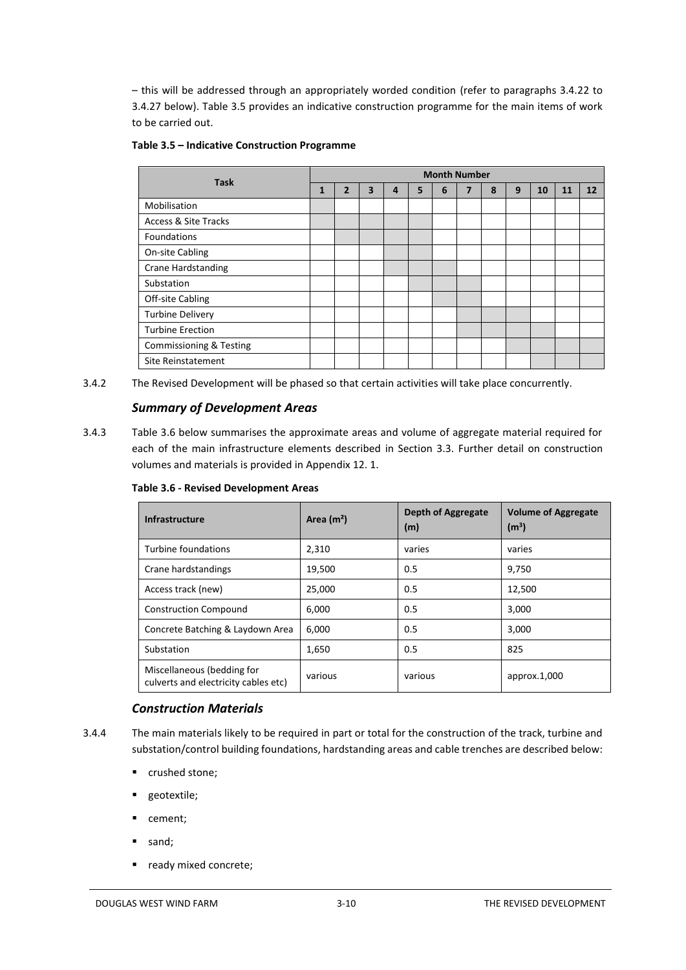– this will be addressed through an appropriately worded condition (refer to paragraphs 3.4.22 to 3.4.27 below). Table 3.5 provides an indicative construction programme for the main items of work to be carried out.

#### **Table 3.5 – Indicative Construction Programme**

| <b>Task</b>                        |  | <b>Month Number</b> |   |   |   |   |  |   |   |    |    |    |
|------------------------------------|--|---------------------|---|---|---|---|--|---|---|----|----|----|
|                                    |  | $\overline{2}$      | 3 | 4 | 5 | ь |  | 8 | 9 | 10 | 11 | 12 |
| Mobilisation                       |  |                     |   |   |   |   |  |   |   |    |    |    |
| <b>Access &amp; Site Tracks</b>    |  |                     |   |   |   |   |  |   |   |    |    |    |
| Foundations                        |  |                     |   |   |   |   |  |   |   |    |    |    |
| On-site Cabling                    |  |                     |   |   |   |   |  |   |   |    |    |    |
| <b>Crane Hardstanding</b>          |  |                     |   |   |   |   |  |   |   |    |    |    |
| Substation                         |  |                     |   |   |   |   |  |   |   |    |    |    |
| Off-site Cabling                   |  |                     |   |   |   |   |  |   |   |    |    |    |
| <b>Turbine Delivery</b>            |  |                     |   |   |   |   |  |   |   |    |    |    |
| <b>Turbine Erection</b>            |  |                     |   |   |   |   |  |   |   |    |    |    |
| <b>Commissioning &amp; Testing</b> |  |                     |   |   |   |   |  |   |   |    |    |    |
| Site Reinstatement                 |  |                     |   |   |   |   |  |   |   |    |    |    |

3.4.2 The Revised Development will be phased so that certain activities will take place concurrently.

#### *Summary of Development Areas*

3.4.3 Table 3.6 below summarises the approximate areas and volume of aggregate material required for each of the main infrastructure elements described in Section 3.3. Further detail on construction volumes and materials is provided in Appendix 12. 1.

**Table 3.6 - Revised Development Areas**

| <b>Infrastructure</b>                                              | Area $(m2)$ | <b>Depth of Aggregate</b><br>(m) | <b>Volume of Aggregate</b><br>(m <sup>3</sup> ) |
|--------------------------------------------------------------------|-------------|----------------------------------|-------------------------------------------------|
| Turbine foundations                                                | 2,310       | varies                           | varies                                          |
| Crane hardstandings                                                | 19,500      | 0.5                              | 9,750                                           |
| Access track (new)                                                 | 25,000      | 0.5                              | 12,500                                          |
| <b>Construction Compound</b>                                       | 6,000       | 0.5                              | 3,000                                           |
| Concrete Batching & Laydown Area                                   | 6,000       | 0.5                              | 3,000                                           |
| Substation                                                         | 1,650       | 0.5                              | 825                                             |
| Miscellaneous (bedding for<br>culverts and electricity cables etc) | various     | various                          | approx.1,000                                    |

#### *Construction Materials*

- 3.4.4 The main materials likely to be required in part or total for the construction of the track, turbine and substation/control building foundations, hardstanding areas and cable trenches are described below:
	- **•** crushed stone;
	- geotextile;
	- cement;
	- sand;
	- **P** ready mixed concrete;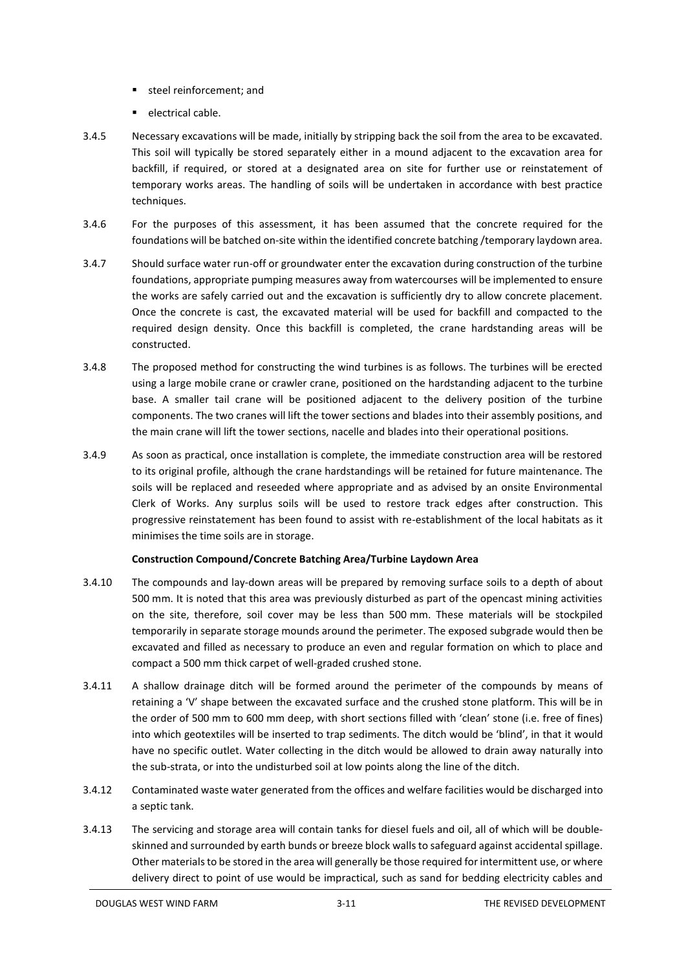- **steel reinforcement; and**
- electrical cable.
- 3.4.5 Necessary excavations will be made, initially by stripping back the soil from the area to be excavated. This soil will typically be stored separately either in a mound adjacent to the excavation area for backfill, if required, or stored at a designated area on site for further use or reinstatement of temporary works areas. The handling of soils will be undertaken in accordance with best practice techniques.
- 3.4.6 For the purposes of this assessment, it has been assumed that the concrete required for the foundations will be batched on-site within the identified concrete batching /temporary laydown area.
- 3.4.7 Should surface water run-off or groundwater enter the excavation during construction of the turbine foundations, appropriate pumping measures away from watercourses will be implemented to ensure the works are safely carried out and the excavation is sufficiently dry to allow concrete placement. Once the concrete is cast, the excavated material will be used for backfill and compacted to the required design density. Once this backfill is completed, the crane hardstanding areas will be constructed.
- 3.4.8 The proposed method for constructing the wind turbines is as follows. The turbines will be erected using a large mobile crane or crawler crane, positioned on the hardstanding adjacent to the turbine base. A smaller tail crane will be positioned adjacent to the delivery position of the turbine components. The two cranes will lift the tower sections and blades into their assembly positions, and the main crane will lift the tower sections, nacelle and blades into their operational positions.
- 3.4.9 As soon as practical, once installation is complete, the immediate construction area will be restored to its original profile, although the crane hardstandings will be retained for future maintenance. The soils will be replaced and reseeded where appropriate and as advised by an onsite Environmental Clerk of Works. Any surplus soils will be used to restore track edges after construction. This progressive reinstatement has been found to assist with re-establishment of the local habitats as it minimises the time soils are in storage.

#### **Construction Compound/Concrete Batching Area/Turbine Laydown Area**

- 3.4.10 The compounds and lay-down areas will be prepared by removing surface soils to a depth of about 500 mm. It is noted that this area was previously disturbed as part of the opencast mining activities on the site, therefore, soil cover may be less than 500 mm. These materials will be stockpiled temporarily in separate storage mounds around the perimeter. The exposed subgrade would then be excavated and filled as necessary to produce an even and regular formation on which to place and compact a 500 mm thick carpet of well-graded crushed stone.
- 3.4.11 A shallow drainage ditch will be formed around the perimeter of the compounds by means of retaining a 'V' shape between the excavated surface and the crushed stone platform. This will be in the order of 500 mm to 600 mm deep, with short sections filled with 'clean' stone (i.e. free of fines) into which geotextiles will be inserted to trap sediments. The ditch would be 'blind', in that it would have no specific outlet. Water collecting in the ditch would be allowed to drain away naturally into the sub-strata, or into the undisturbed soil at low points along the line of the ditch.
- 3.4.12 Contaminated waste water generated from the offices and welfare facilities would be discharged into a septic tank.
- 3.4.13 The servicing and storage area will contain tanks for diesel fuels and oil, all of which will be doubleskinned and surrounded by earth bunds or breeze block walls to safeguard against accidental spillage. Other materials to be stored in the area will generally be those required for intermittent use, or where delivery direct to point of use would be impractical, such as sand for bedding electricity cables and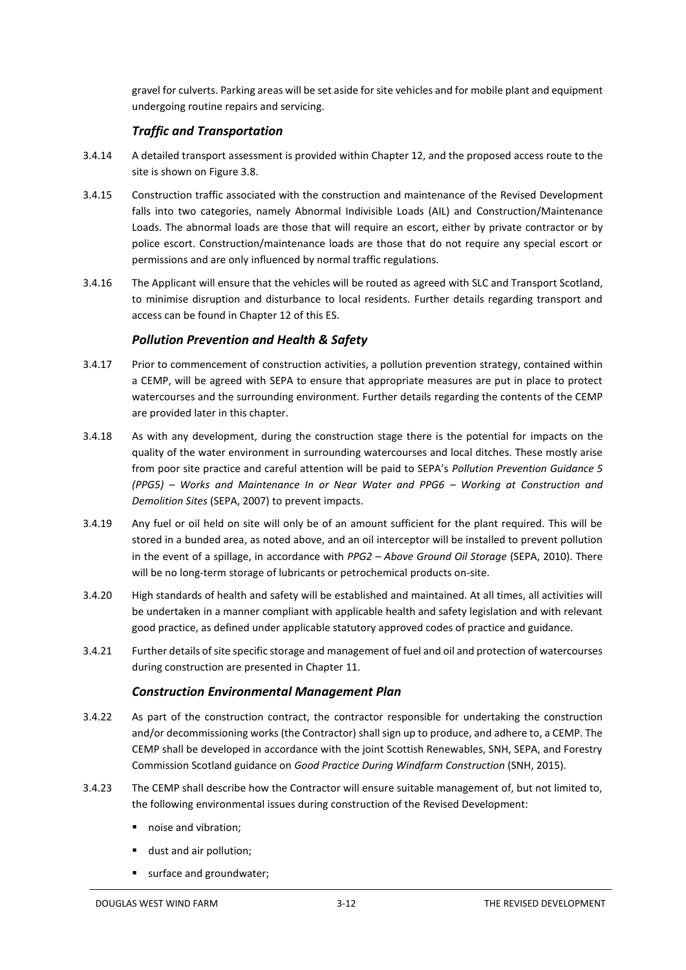gravel for culverts. Parking areas will be set aside for site vehicles and for mobile plant and equipment undergoing routine repairs and servicing.

#### *Traffic and Transportation*

- 3.4.14 A detailed transport assessment is provided within Chapter 12, and the proposed access route to the site is shown on Figure 3.8.
- 3.4.15 Construction traffic associated with the construction and maintenance of the Revised Development falls into two categories, namely Abnormal Indivisible Loads (AIL) and Construction/Maintenance Loads. The abnormal loads are those that will require an escort, either by private contractor or by police escort. Construction/maintenance loads are those that do not require any special escort or permissions and are only influenced by normal traffic regulations.
- 3.4.16 The Applicant will ensure that the vehicles will be routed as agreed with SLC and Transport Scotland, to minimise disruption and disturbance to local residents. Further details regarding transport and access can be found in Chapter 12 of this ES.

#### *Pollution Prevention and Health & Safety*

- 3.4.17 Prior to commencement of construction activities, a pollution prevention strategy, contained within a CEMP, will be agreed with SEPA to ensure that appropriate measures are put in place to protect watercourses and the surrounding environment. Further details regarding the contents of the CEMP are provided later in this chapter.
- 3.4.18 As with any development, during the construction stage there is the potential for impacts on the quality of the water environment in surrounding watercourses and local ditches. These mostly arise from poor site practice and careful attention will be paid to SEPA's *Pollution Prevention Guidance 5 (PPG5) – Works and Maintenance In or Near Water and PPG6 – Working at Construction and Demolition Sites* (SEPA, 2007) to prevent impacts.
- 3.4.19 Any fuel or oil held on site will only be of an amount sufficient for the plant required. This will be stored in a bunded area, as noted above, and an oil interceptor will be installed to prevent pollution in the event of a spillage, in accordance with *PPG2 – Above Ground Oil Storage* (SEPA, 2010). There will be no long-term storage of lubricants or petrochemical products on-site.
- 3.4.20 High standards of health and safety will be established and maintained. At all times, all activities will be undertaken in a manner compliant with applicable health and safety legislation and with relevant good practice, as defined under applicable statutory approved codes of practice and guidance.
- 3.4.21 Further details of site specific storage and management of fuel and oil and protection of watercourses during construction are presented in Chapter 11.

#### *Construction Environmental Management Plan*

- 3.4.22 As part of the construction contract, the contractor responsible for undertaking the construction and/or decommissioning works (the Contractor) shall sign up to produce, and adhere to, a CEMP. The CEMP shall be developed in accordance with the joint Scottish Renewables, SNH, SEPA, and Forestry Commission Scotland guidance on *Good Practice During Windfarm Construction* (SNH, 2015).
- 3.4.23 The CEMP shall describe how the Contractor will ensure suitable management of, but not limited to, the following environmental issues during construction of the Revised Development:
	- noise and vibration;
	- dust and air pollution;
	- surface and groundwater;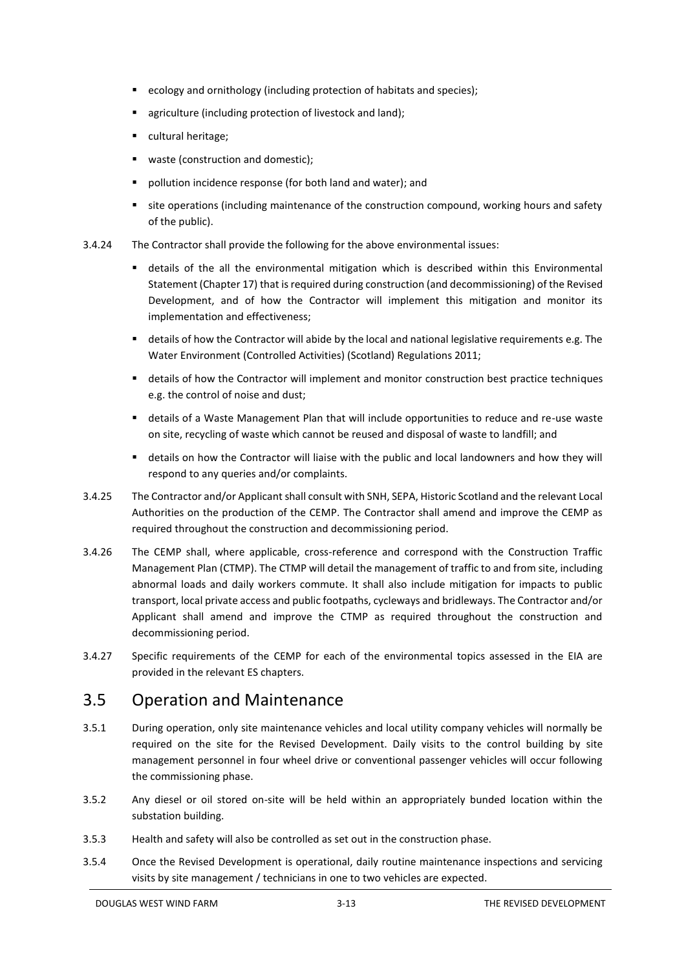- ecology and ornithology (including protection of habitats and species);
- **E** agriculture (including protection of livestock and land):
- cultural heritage;
- waste (construction and domestic);
- pollution incidence response (for both land and water); and
- **site operations (including maintenance of the construction compound, working hours and safety** of the public).
- 3.4.24 The Contractor shall provide the following for the above environmental issues:
	- details of the all the environmental mitigation which is described within this Environmental Statement (Chapter 17) that is required during construction (and decommissioning) of the Revised Development, and of how the Contractor will implement this mitigation and monitor its implementation and effectiveness;
	- details of how the Contractor will abide by the local and national legislative requirements e.g. The Water Environment (Controlled Activities) (Scotland) Regulations 2011;
	- details of how the Contractor will implement and monitor construction best practice techniques e.g. the control of noise and dust;
	- details of a Waste Management Plan that will include opportunities to reduce and re-use waste on site, recycling of waste which cannot be reused and disposal of waste to landfill; and
	- details on how the Contractor will liaise with the public and local landowners and how they will respond to any queries and/or complaints.
- 3.4.25 The Contractor and/or Applicant shall consult with SNH, SEPA, Historic Scotland and the relevant Local Authorities on the production of the CEMP. The Contractor shall amend and improve the CEMP as required throughout the construction and decommissioning period.
- 3.4.26 The CEMP shall, where applicable, cross-reference and correspond with the Construction Traffic Management Plan (CTMP). The CTMP will detail the management of traffic to and from site, including abnormal loads and daily workers commute. It shall also include mitigation for impacts to public transport, local private access and public footpaths, cycleways and bridleways. The Contractor and/or Applicant shall amend and improve the CTMP as required throughout the construction and decommissioning period.
- 3.4.27 Specific requirements of the CEMP for each of the environmental topics assessed in the EIA are provided in the relevant ES chapters.

## <span id="page-14-0"></span>3.5 Operation and Maintenance

- 3.5.1 During operation, only site maintenance vehicles and local utility company vehicles will normally be required on the site for the Revised Development. Daily visits to the control building by site management personnel in four wheel drive or conventional passenger vehicles will occur following the commissioning phase.
- 3.5.2 Any diesel or oil stored on-site will be held within an appropriately bunded location within the substation building.
- 3.5.3 Health and safety will also be controlled as set out in the construction phase.
- 3.5.4 Once the Revised Development is operational, daily routine maintenance inspections and servicing visits by site management / technicians in one to two vehicles are expected.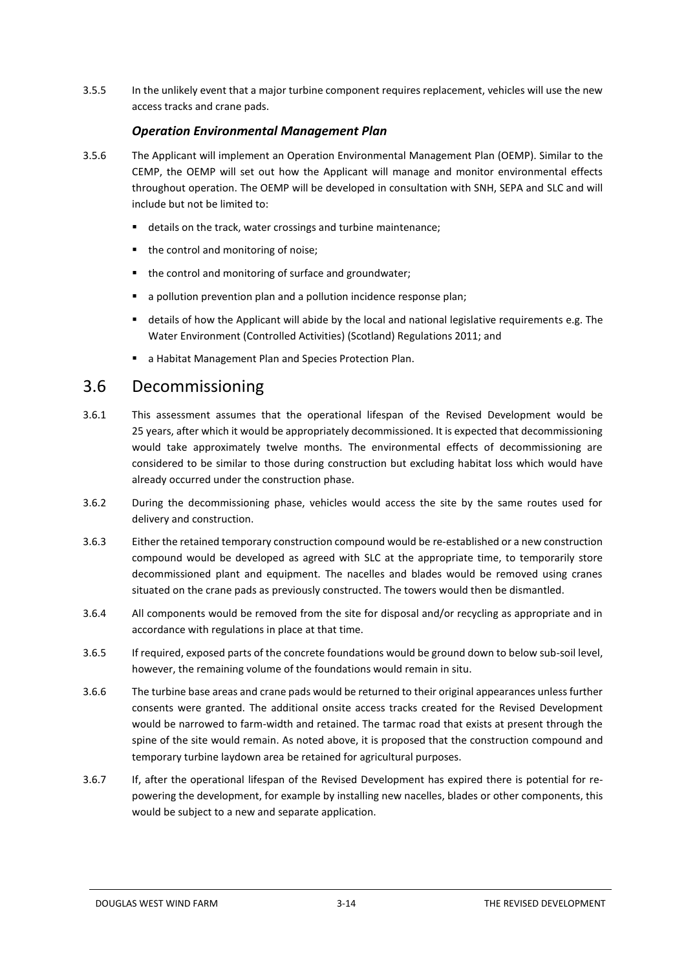3.5.5 In the unlikely event that a major turbine component requires replacement, vehicles will use the new access tracks and crane pads.

#### *Operation Environmental Management Plan*

- 3.5.6 The Applicant will implement an Operation Environmental Management Plan (OEMP). Similar to the CEMP, the OEMP will set out how the Applicant will manage and monitor environmental effects throughout operation. The OEMP will be developed in consultation with SNH, SEPA and SLC and will include but not be limited to:
	- details on the track, water crossings and turbine maintenance;
	- the control and monitoring of noise;
	- the control and monitoring of surface and groundwater;
	- a pollution prevention plan and a pollution incidence response plan;
	- details of how the Applicant will abide by the local and national legislative requirements e.g. The Water Environment (Controlled Activities) (Scotland) Regulations 2011; and
	- a Habitat Management Plan and Species Protection Plan.

## <span id="page-15-0"></span>3.6 Decommissioning

- 3.6.1 This assessment assumes that the operational lifespan of the Revised Development would be 25 years, after which it would be appropriately decommissioned. It is expected that decommissioning would take approximately twelve months. The environmental effects of decommissioning are considered to be similar to those during construction but excluding habitat loss which would have already occurred under the construction phase.
- 3.6.2 During the decommissioning phase, vehicles would access the site by the same routes used for delivery and construction.
- 3.6.3 Either the retained temporary construction compound would be re-established or a new construction compound would be developed as agreed with SLC at the appropriate time, to temporarily store decommissioned plant and equipment. The nacelles and blades would be removed using cranes situated on the crane pads as previously constructed. The towers would then be dismantled.
- 3.6.4 All components would be removed from the site for disposal and/or recycling as appropriate and in accordance with regulations in place at that time.
- 3.6.5 If required, exposed parts of the concrete foundations would be ground down to below sub-soil level, however, the remaining volume of the foundations would remain in situ.
- 3.6.6 The turbine base areas and crane pads would be returned to their original appearances unless further consents were granted. The additional onsite access tracks created for the Revised Development would be narrowed to farm-width and retained. The tarmac road that exists at present through the spine of the site would remain. As noted above, it is proposed that the construction compound and temporary turbine laydown area be retained for agricultural purposes.
- 3.6.7 If, after the operational lifespan of the Revised Development has expired there is potential for repowering the development, for example by installing new nacelles, blades or other components, this would be subject to a new and separate application.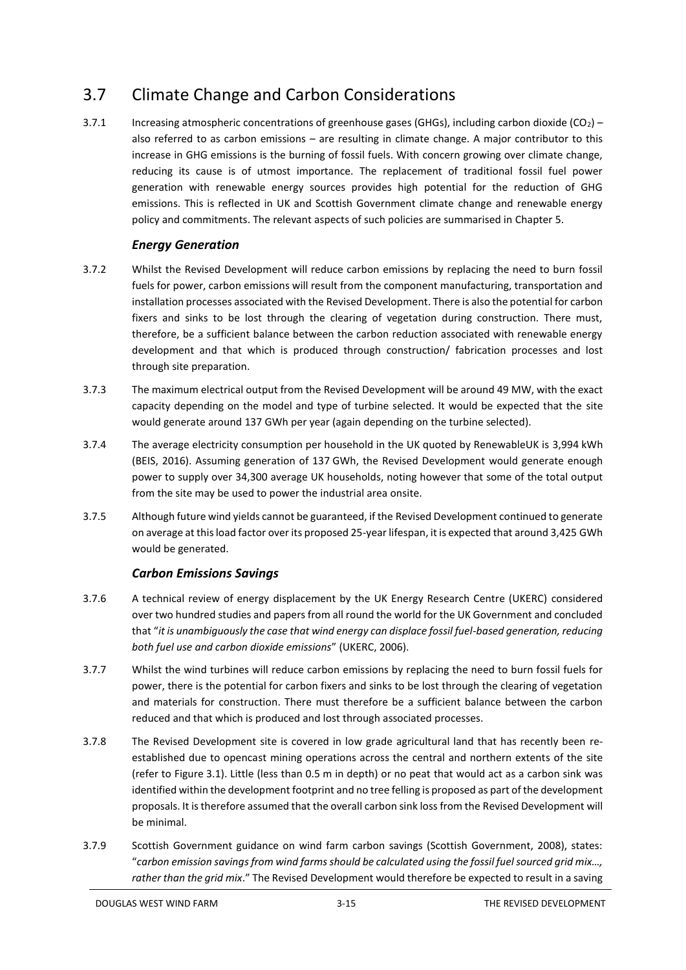## <span id="page-16-0"></span>3.7 Climate Change and Carbon Considerations

3.7.1 Increasing atmospheric concentrations of greenhouse gases (GHGs), including carbon dioxide (CO<sub>2</sub>) – also referred to as carbon emissions – are resulting in climate change. A major contributor to this increase in GHG emissions is the burning of fossil fuels. With concern growing over climate change, reducing its cause is of utmost importance. The replacement of traditional fossil fuel power generation with renewable energy sources provides high potential for the reduction of GHG emissions. This is reflected in UK and Scottish Government climate change and renewable energy policy and commitments. The relevant aspects of such policies are summarised in Chapter 5.

#### *Energy Generation*

- 3.7.2 Whilst the Revised Development will reduce carbon emissions by replacing the need to burn fossil fuels for power, carbon emissions will result from the component manufacturing, transportation and installation processes associated with the Revised Development. There is also the potential for carbon fixers and sinks to be lost through the clearing of vegetation during construction. There must, therefore, be a sufficient balance between the carbon reduction associated with renewable energy development and that which is produced through construction/ fabrication processes and lost through site preparation.
- 3.7.3 The maximum electrical output from the Revised Development will be around 49 MW, with the exact capacity depending on the model and type of turbine selected. It would be expected that the site would generate around 137 GWh per year (again depending on the turbine selected).
- 3.7.4 The average electricity consumption per household in the UK quoted by RenewableUK is 3,994 kWh (BEIS, 2016). Assuming generation of 137 GWh, the Revised Development would generate enough power to supply over 34,300 average UK households, noting however that some of the total output from the site may be used to power the industrial area onsite.
- 3.7.5 Although future wind yields cannot be guaranteed, if the Revised Development continued to generate on average at this load factor over its proposed 25-year lifespan, it is expected that around 3,425 GWh would be generated.

#### *Carbon Emissions Savings*

- 3.7.6 A technical review of energy displacement by the UK Energy Research Centre (UKERC) considered over two hundred studies and papers from all round the world for the UK Government and concluded that "*it is unambiguously the case that wind energy can displace fossil fuel-based generation, reducing both fuel use and carbon dioxide emissions*" (UKERC, 2006).
- 3.7.7 Whilst the wind turbines will reduce carbon emissions by replacing the need to burn fossil fuels for power, there is the potential for carbon fixers and sinks to be lost through the clearing of vegetation and materials for construction. There must therefore be a sufficient balance between the carbon reduced and that which is produced and lost through associated processes.
- 3.7.8 The Revised Development site is covered in low grade agricultural land that has recently been reestablished due to opencast mining operations across the central and northern extents of the site (refer to Figure 3.1). Little (less than 0.5 m in depth) or no peat that would act as a carbon sink was identified within the development footprint and no tree felling is proposed as part of the development proposals. It is therefore assumed that the overall carbon sink loss from the Revised Development will be minimal.
- 3.7.9 Scottish Government guidance on wind farm carbon savings (Scottish Government, 2008), states: "*carbon emission savings from wind farms should be calculated using the fossil fuel sourced grid mix…, rather than the grid mix*." The Revised Development would therefore be expected to result in a saving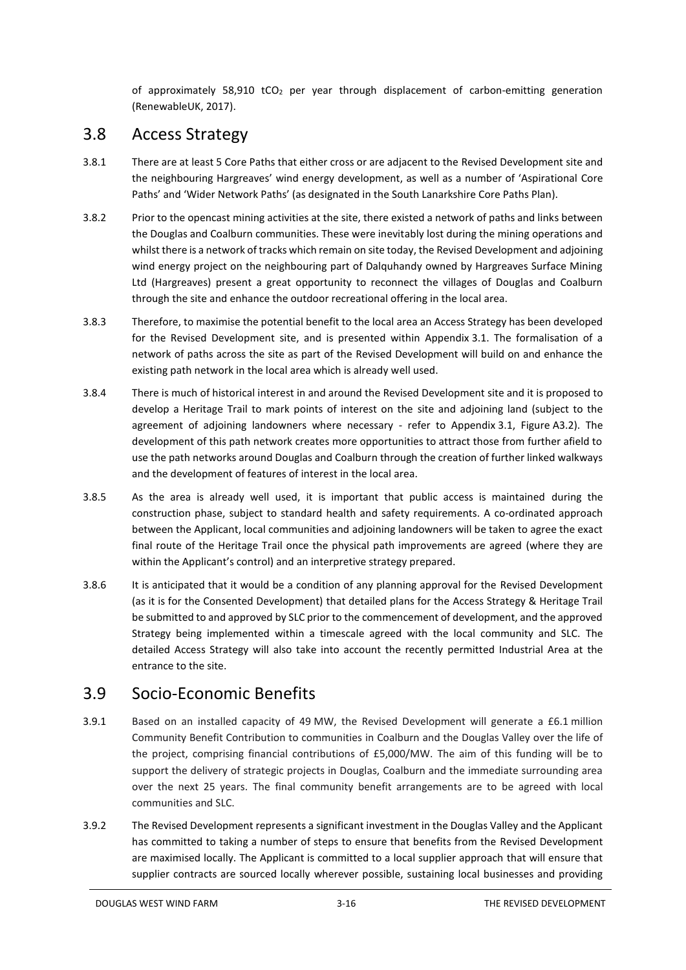of approximately 58,910 tCO<sub>2</sub> per year through displacement of carbon-emitting generation (RenewableUK, 2017).

## <span id="page-17-0"></span>3.8 Access Strategy

- 3.8.1 There are at least 5 Core Paths that either cross or are adjacent to the Revised Development site and the neighbouring Hargreaves' wind energy development, as well as a number of 'Aspirational Core Paths' and 'Wider Network Paths' (as designated in the South Lanarkshire Core Paths Plan).
- 3.8.2 Prior to the opencast mining activities at the site, there existed a network of paths and links between the Douglas and Coalburn communities. These were inevitably lost during the mining operations and whilst there is a network of tracks which remain on site today, the Revised Development and adjoining wind energy project on the neighbouring part of Dalquhandy owned by Hargreaves Surface Mining Ltd (Hargreaves) present a great opportunity to reconnect the villages of Douglas and Coalburn through the site and enhance the outdoor recreational offering in the local area.
- 3.8.3 Therefore, to maximise the potential benefit to the local area an Access Strategy has been developed for the Revised Development site, and is presented within Appendix 3.1. The formalisation of a network of paths across the site as part of the Revised Development will build on and enhance the existing path network in the local area which is already well used.
- 3.8.4 There is much of historical interest in and around the Revised Development site and it is proposed to develop a Heritage Trail to mark points of interest on the site and adjoining land (subject to the agreement of adjoining landowners where necessary - refer to Appendix 3.1, Figure A3.2). The development of this path network creates more opportunities to attract those from further afield to use the path networks around Douglas and Coalburn through the creation of further linked walkways and the development of features of interest in the local area.
- 3.8.5 As the area is already well used, it is important that public access is maintained during the construction phase, subject to standard health and safety requirements. A co-ordinated approach between the Applicant, local communities and adjoining landowners will be taken to agree the exact final route of the Heritage Trail once the physical path improvements are agreed (where they are within the Applicant's control) and an interpretive strategy prepared.
- 3.8.6 It is anticipated that it would be a condition of any planning approval for the Revised Development (as it is for the Consented Development) that detailed plans for the Access Strategy & Heritage Trail be submitted to and approved by SLC prior to the commencement of development, and the approved Strategy being implemented within a timescale agreed with the local community and SLC. The detailed Access Strategy will also take into account the recently permitted Industrial Area at the entrance to the site.

## <span id="page-17-1"></span>3.9 Socio-Economic Benefits

- 3.9.1 Based on an installed capacity of 49 MW, the Revised Development will generate a £6.1 million Community Benefit Contribution to communities in Coalburn and the Douglas Valley over the life of the project, comprising financial contributions of £5,000/MW. The aim of this funding will be to support the delivery of strategic projects in Douglas, Coalburn and the immediate surrounding area over the next 25 years. The final community benefit arrangements are to be agreed with local communities and SLC.
- 3.9.2 The Revised Development represents a significant investment in the Douglas Valley and the Applicant has committed to taking a number of steps to ensure that benefits from the Revised Development are maximised locally. The Applicant is committed to a local supplier approach that will ensure that supplier contracts are sourced locally wherever possible, sustaining local businesses and providing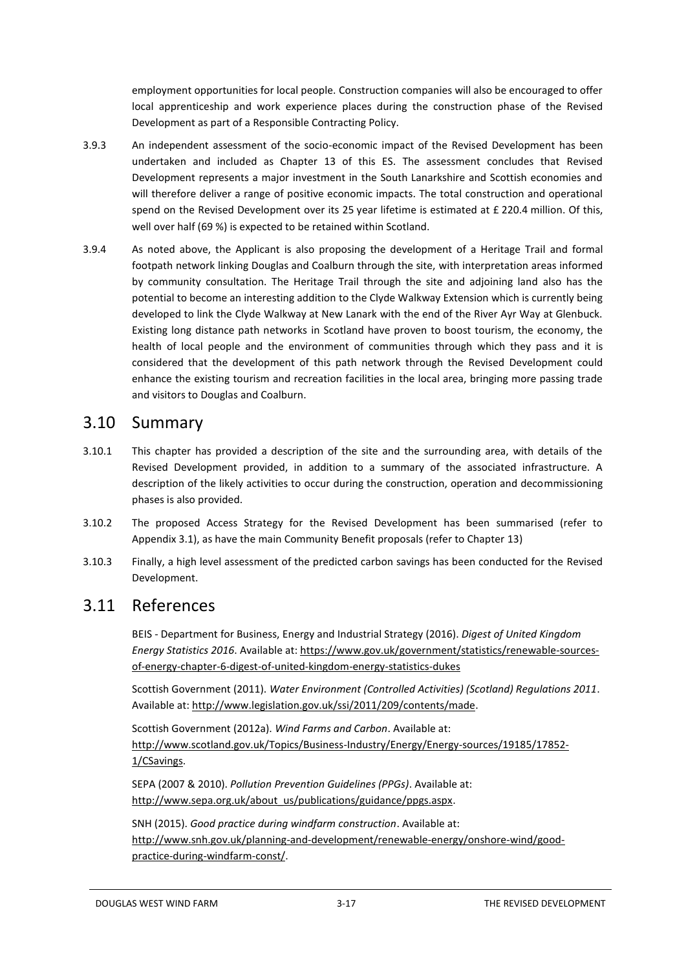employment opportunities for local people. Construction companies will also be encouraged to offer local apprenticeship and work experience places during the construction phase of the Revised Development as part of a Responsible Contracting Policy.

- 3.9.3 An independent assessment of the socio-economic impact of the Revised Development has been undertaken and included as Chapter 13 of this ES. The assessment concludes that Revised Development represents a major investment in the South Lanarkshire and Scottish economies and will therefore deliver a range of positive economic impacts. The total construction and operational spend on the Revised Development over its 25 year lifetime is estimated at £ 220.4 million. Of this, well over half (69 %) is expected to be retained within Scotland.
- 3.9.4 As noted above, the Applicant is also proposing the development of a Heritage Trail and formal footpath network linking Douglas and Coalburn through the site, with interpretation areas informed by community consultation. The Heritage Trail through the site and adjoining land also has the potential to become an interesting addition to the Clyde Walkway Extension which is currently being developed to link the Clyde Walkway at New Lanark with the end of the River Ayr Way at Glenbuck. Existing long distance path networks in Scotland have proven to boost tourism, the economy, the health of local people and the environment of communities through which they pass and it is considered that the development of this path network through the Revised Development could enhance the existing tourism and recreation facilities in the local area, bringing more passing trade and visitors to Douglas and Coalburn.

## <span id="page-18-0"></span>3.10 Summary

- 3.10.1 This chapter has provided a description of the site and the surrounding area, with details of the Revised Development provided, in addition to a summary of the associated infrastructure. A description of the likely activities to occur during the construction, operation and decommissioning phases is also provided.
- 3.10.2 The proposed Access Strategy for the Revised Development has been summarised (refer to Appendix 3.1), as have the main Community Benefit proposals (refer to Chapter 13)
- 3.10.3 Finally, a high level assessment of the predicted carbon savings has been conducted for the Revised Development.

## <span id="page-18-1"></span>3.11 References

BEIS - Department for Business, Energy and Industrial Strategy (2016). *Digest of United Kingdom Energy Statistics 2016*. Available at[: https://www.gov.uk/government/statistics/renewable-sources](https://www.gov.uk/government/statistics/renewable-sources-of-energy-chapter-6-digest-of-united-kingdom-energy-statistics-dukes)[of-energy-chapter-6-digest-of-united-kingdom-energy-statistics-dukes](https://www.gov.uk/government/statistics/renewable-sources-of-energy-chapter-6-digest-of-united-kingdom-energy-statistics-dukes)

Scottish Government (2011). *Water Environment (Controlled Activities) (Scotland) Regulations 2011*. Available at: [http://www.legislation.gov.uk/ssi/2011/209/contents/made.](http://www.legislation.gov.uk/ssi/2011/209/contents/made)

Scottish Government (2012a). *Wind Farms and Carbon*. Available at: [http://www.scotland.gov.uk/Topics/Business-Industry/Energy/Energy-sources/19185/17852-](http://www.scotland.gov.uk/Topics/Business-Industry/Energy/Energy-sources/19185/17852-1/CSavings) [1/CSavings.](http://www.scotland.gov.uk/Topics/Business-Industry/Energy/Energy-sources/19185/17852-1/CSavings)

SEPA (2007 & 2010). *Pollution Prevention Guidelines (PPGs)*. Available at: [http://www.sepa.org.uk/about\\_us/publications/guidance/ppgs.aspx.](http://www.sepa.org.uk/about_us/publications/guidance/ppgs.aspx)

SNH (2015). *Good practice during windfarm construction*. Available at: http://www.snh.gov.uk/planning-and-development/renewable-energy/onshore-wind/goodpractice-during-windfarm-const/.